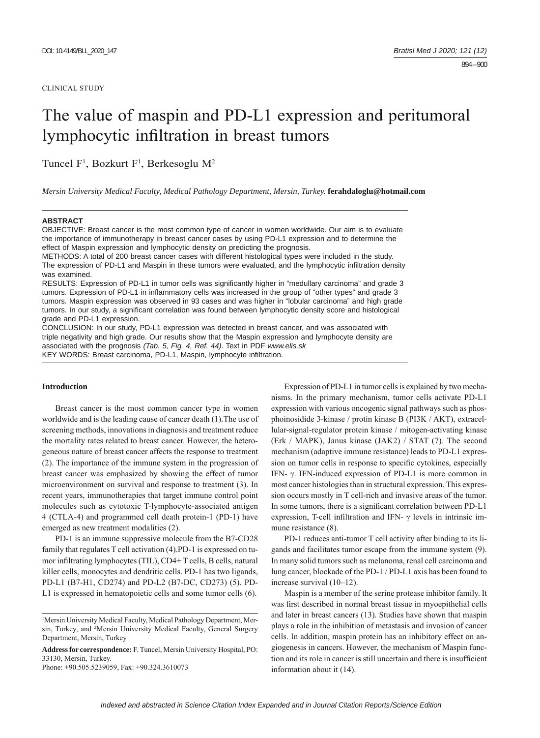#### CLINICAL STUDY

# The value of maspin and PD-L1 expression and peritumoral lymphocytic infiltration in breast tumors

Tuncel F<sup>1</sup>, Bozkurt F<sup>1</sup>, Berkesoglu M<sup>2</sup>

*Mersin University Medical Faculty, Medical Pathology Department, Mersin, Turkey.* **ferahdaloglu@hotmail.com**

### **ABSTRACT**

OBJECTIVE: Breast cancer is the most common type of cancer in women worldwide. Our aim is to evaluate the importance of immunotherapy in breast cancer cases by using PD-L1 expression and to determine the effect of Maspin expression and lymphocytic density on predicting the prognosis.

METHODS: A total of 200 breast cancer cases with different histological types were included in the study. The expression of PD-L1 and Maspin in these tumors were evaluated, and the lymphocytic infiltration density was examined.

RESULTS: Expression of PD-L1 in tumor cells was significantly higher in "medullary carcinoma" and grade 3 tumors. Expression of PD-L1 in inflammatory cells was increased in the group of "other types" and grade 3 tumors. Maspin expression was observed in 93 cases and was higher in "lobular carcinoma" and high grade tumors. In our study, a significant correlation was found between lymphocytic density score and histological grade and PD-L1 expression.

CONCLUSION: In our study, PD-L1 expression was detected in breast cancer, and was associated with triple negativity and high grade. Our results show that the Maspin expression and lymphocyte density are associated with the prognosis *(Tab. 5, Fig. 4, Ref. 44)*. Text in PDF *www.elis.sk* KEY WORDS: Breast carcinoma, PD-L1, Maspin, lymphocyte infiltration.

## **Introduction**

Breast cancer is the most common cancer type in women worldwide and is the leading cause of cancer death (1).The use of screening methods, innovations in diagnosis and treatment reduce the mortality rates related to breast cancer. However, the heterogeneous nature of breast cancer affects the response to treatment (2). The importance of the immune system in the progression of breast cancer was emphasized by showing the effect of tumor microenvironment on survival and response to treatment (3). In recent years, immunotherapies that target immune control point molecules such as cytotoxic T-lymphocyte-associated antigen 4 (CTLA-4) and programmed cell death protein-1 (PD-1) have emerged as new treatment modalities (2).

PD-1 is an immune suppressive molecule from the B7-CD28 family that regulates T cell activation (4).PD-1 is expressed on tumor infiltrating lymphocytes (TIL), CD4+ T cells, B cells, natural killer cells, monocytes and dendritic cells. PD-1 has two ligands, PD-L1 (B7-H1, CD274) and PD-L2 (B7-DC, CD273) (5). PD-L1 is expressed in hematopoietic cells and some tumor cells (6).

**Address for correspondence:** F. Tuncel, Mersin University Hospital, PO: 33130, Mersin, Turkey.

Phone: +90.505.5239059, Fax: +90.324.3610073

Expression of PD-L1 in tumor cells is explained by two mechanisms. In the primary mechanism, tumor cells activate PD-L1 expression with various oncogenic signal pathways such as phosphoinosidide 3-kinase / protin kinase B (PI3K / AKT), extracellular-signal-regulator protein kinase / mitogen-activating kinase (Erk / MAPK), Janus kinase (JAK2) / STAT (7). The second mechanism (adaptive immune resistance) leads to PD-L1 expression on tumor cells in response to specific cytokines, especially IFN- γ. IFN-induced expression of PD-L1 is more common in most cancer histologies than in structural expression. This expression occurs mostly in T cell-rich and invasive areas of the tumor. In some tumors, there is a significant correlation between PD-L1 expression, T-cell infiltration and IFN-  $\gamma$  levels in intrinsic immune resistance (8).

PD-1 reduces anti-tumor T cell activity after binding to its ligands and facilitates tumor escape from the immune system (9). In many solid tumors such as melanoma, renal cell carcinoma and lung cancer, blockade of the PD-1 / PD-L1 axis has been found to increase survival (10–12).

Maspin is a member of the serine protease inhibitor family. It was first described in normal breast tissue in myoepithelial cells and later in breast cancers (13). Studies have shown that maspin plays a role in the inhibition of metastasis and invasion of cancer cells. In addition, maspin protein has an inhibitory effect on angiogenesis in cancers. However, the mechanism of Maspin function and its role in cancer is still uncertain and there is insufficient information about it (14).

<sup>&</sup>lt;sup>1</sup>Mersin University Medical Faculty, Medical Pathology Department, Mersin, Turkey, and 2 Mersin University Medical Faculty, General Surgery Department, Mersin, Turkey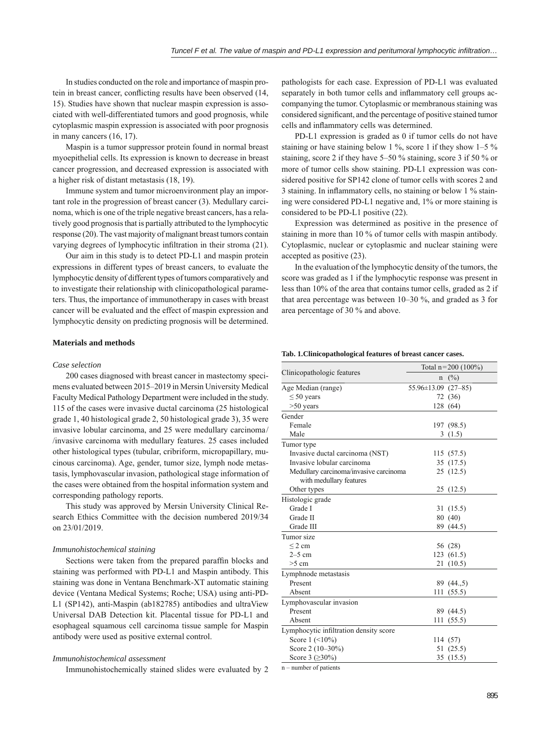In studies conducted on the role and importance of maspin protein in breast cancer, conflicting results have been observed (14, 15). Studies have shown that nuclear maspin expression is associated with well-differentiated tumors and good prognosis, while cytoplasmic maspin expression is associated with poor prognosis in many cancers (16, 17).

Maspin is a tumor suppressor protein found in normal breast myoepithelial cells. Its expression is known to decrease in breast cancer progression, and decreased expression is associated with a higher risk of distant metastasis (18, 19).

Immune system and tumor microenvironment play an important role in the progression of breast cancer (3). Medullary carcinoma, which is one of the triple negative breast cancers, has a relatively good prognosis that is partially attributed to the lymphocytic response (20). The vast majority of malignant breast tumors contain varying degrees of lymphocytic infiltration in their stroma (21).

Our aim in this study is to detect PD-L1 and maspin protein expressions in different types of breast cancers, to evaluate the lymphocytic density of different types of tumors comparatively and to investigate their relationship with clinicopathological parameters. Thus, the importance of immunotherapy in cases with breast cancer will be evaluated and the effect of maspin expression and lymphocytic density on predicting prognosis will be determined.

# **Materials and methods**

### *Case selection*

200 cases diagnosed with breast cancer in mastectomy specimens evaluated between 2015–2019 in Mersin University Medical Faculty Medical Pathology Department were included in the study. 115 of the cases were invasive ductal carcinoma (25 histological grade 1, 40 histological grade 2, 50 histological grade 3), 35 were invasive lobular carcinoma, and 25 were medullary carcinoma/ /invasive carcinoma with medullary features. 25 cases included other histological types (tubular, cribriform, micropapillary, mucinous carcinoma). Age, gender, tumor size, lymph node metastasis, lymphovascular invasion, pathological stage information of the cases were obtained from the hospital information system and corresponding pathology reports.

This study was approved by Mersin University Clinical Research Ethics Committee with the decision numbered 2019/34 on 23/01/2019.

## *Immunohistochemical staining*

Sections were taken from the prepared paraffin blocks and staining was performed with PD-L1 and Maspin antibody. This staining was done in Ventana Benchmark-XT automatic staining device (Ventana Medical Systems; Roche; USA) using anti-PD-L1 (SP142), anti-Maspin (ab182785) antibodies and ultraView Universal DAB Detection kit. Placental tissue for PD-L1 and esophageal squamous cell carcinoma tissue sample for Maspin antibody were used as positive external control.

## *Immunohistochemical assessment*

Immunohistochemically stained slides were evaluated by 2

pathologists for each case. Expression of PD-L1 was evaluated separately in both tumor cells and inflammatory cell groups accompanying the tumor. Cytoplasmic or membranous staining was considered significant, and the percentage of positive stained tumor cells and inflammatory cells was determined.

PD-L1 expression is graded as 0 if tumor cells do not have staining or have staining below 1 %, score 1 if they show  $1-5$  % staining, score 2 if they have 5–50 % staining, score 3 if 50 % or more of tumor cells show staining. PD-L1 expression was considered positive for SP142 clone of tumor cells with scores 2 and  $3$  staining. In inflammatory cells, no staining or below 1  $\%$  staining were considered PD-L1 negative and, 1% or more staining is considered to be PD-L1 positive (22).

Expression was determined as positive in the presence of staining in more than 10 % of tumor cells with maspin antibody. Cytoplasmic, nuclear or cytoplasmic and nuclear staining were accepted as positive (23).

In the evaluation of the lymphocytic density of the tumors, the score was graded as 1 if the lymphocytic response was present in less than 10% of the area that contains tumor cells, graded as 2 if that area percentage was between 10–30 %, and graded as 3 for area percentage of 30 % and above.

#### **Tab. 1.Clinicopathological features of breast cancer cases.**

|                                        | Total $n=200$ (100%)        |            |  |
|----------------------------------------|-----------------------------|------------|--|
| Clinicopathologic features             | n                           | (%)        |  |
| Age Median (range)                     | $55.96 \pm 13.09$ $(27-85)$ |            |  |
| $\leq 50$ years                        |                             | 72 (36)    |  |
| $>50$ years                            |                             | 128 (64)   |  |
| Gender                                 |                             |            |  |
| Female                                 |                             | 197 (98.5) |  |
| Male                                   |                             | 3(1.5)     |  |
| Tumor type                             |                             |            |  |
| Invasive ductal carcinoma (NST)        |                             | 115(57.5)  |  |
| Invasive lobular carcinoma             |                             | 35 (17.5)  |  |
| Medullary carcinoma/invasive carcinoma |                             | 25(12.5)   |  |
| with medullary features                |                             |            |  |
| Other types                            |                             | 25(12.5)   |  |
| Histologic grade                       |                             |            |  |
| Grade I                                |                             | 31 (15.5)  |  |
| Grade II                               |                             | 80 (40)    |  |
| Grade III                              |                             | 89 (44.5)  |  |
| Tumor size                             |                             |            |  |
| $\leq$ 2 cm                            |                             | 56 (28)    |  |
| $2-5$ cm                               |                             | 123 (61.5) |  |
| $>5$ cm                                |                             | 21 (10.5)  |  |
| Lymphnode metastasis                   |                             |            |  |
| Present                                |                             | 89 (44.,5) |  |
| Absent                                 |                             | 111 (55.5) |  |
| Lymphovascular invasion                |                             |            |  |
| Present                                |                             | 89 (44.5)  |  |
| Absent                                 |                             | 111(55.5)  |  |
| Lymphocytic infiltration density score |                             |            |  |
| Score $1$ (<10%)                       |                             | 114 (57)   |  |
| Score 2 (10-30%)                       |                             | 51 (25.5)  |  |
| Score 3 ( $\geq$ 30%)                  |                             | 35 (15.5)  |  |

n – number of patients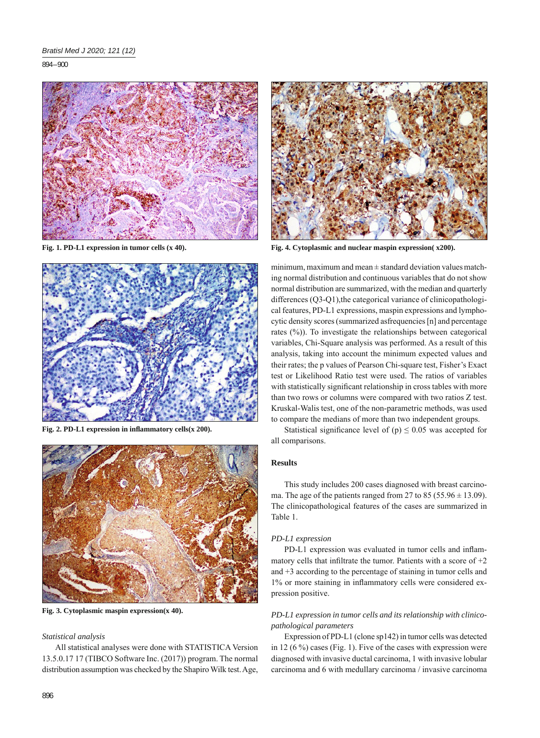894 – 900



**Fig. 1. PD-L1 expression in tumor cells (x 40).**



Fig. 2. PD-L1 expression in inflammatory cells(x 200).



**Fig. 3. Cytoplasmic maspin expression(x 40).**

## *Statistical analysis*

All statistical analyses were done with STATISTICA Version 13.5.0.17 17 (TIBCO Software Inc. (2017)) program. The normal distribution assumption was checked by the Shapiro Wilk test. Age,



**Fig. 4. Cytoplasmic and nuclear maspin expression( x200).**

minimum, maximum and mean ± standard deviation values matching normal distribution and continuous variables that do not show normal distribution are summarized, with the median and quarterly differences (Q3-Q1),the categorical variance of clinicopathological features, PD-L1 expressions, maspin expressions and lymphocytic density scores (summarized asfrequencies [n] and percentage rates (%)). To investigate the relationships between categorical variables, Chi-Square analysis was performed. As a result of this analysis, taking into account the minimum expected values and their rates; the p values of Pearson Chi-square test, Fisher's Exact test or Likelihood Ratio test were used. The ratios of variables with statistically significant relationship in cross tables with more than two rows or columns were compared with two ratios Z test. Kruskal-Walis test, one of the non-parametric methods, was used to compare the medians of more than two independent groups.

Statistical significance level of (p)  $\leq 0.05$  was accepted for all comparisons.

## **Results**

This study includes 200 cases diagnosed with breast carcinoma. The age of the patients ranged from 27 to 85 (55.96  $\pm$  13.09). The clinicopathological features of the cases are summarized in Table 1.

## *PD-L1 expression*

PD-L1 expression was evaluated in tumor cells and inflammatory cells that infiltrate the tumor. Patients with a score of  $+2$ and +3 according to the percentage of staining in tumor cells and 1% or more staining in inflammatory cells were considered expression positive.

# *PD-L1 expression in tumor cells and its relationship with clinicopathological parameters*

Expression of PD-L1 (clone sp142) in tumor cells was detected in 12 (6 %) cases (Fig. 1). Five of the cases with expression were diagnosed with invasive ductal carcinoma, 1 with invasive lobular carcinoma and 6 with medullary carcinoma / invasive carcinoma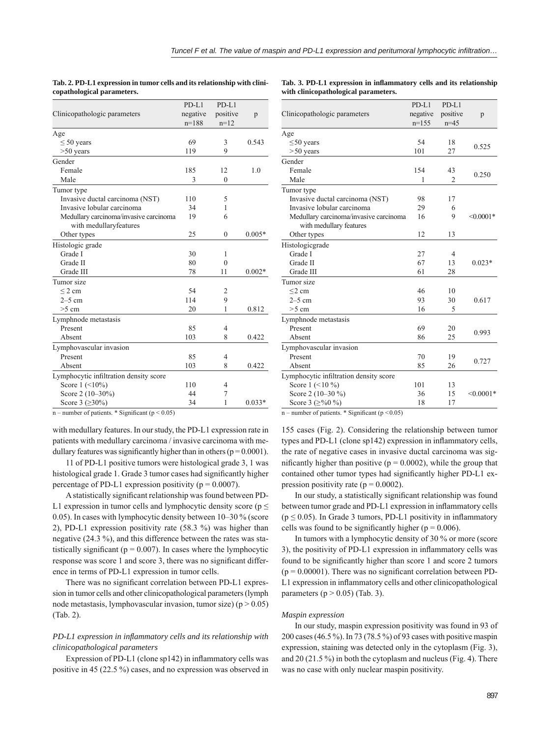|                                                         | PD-L1    | PD-L1        |          |
|---------------------------------------------------------|----------|--------------|----------|
| Clinicopathologic parameters                            | negative | positive     | p        |
|                                                         | $n=188$  | $n=12$       |          |
| Age                                                     |          |              |          |
| $\leq 50$ years                                         | 69       | 3            | 0.543    |
| $>50$ years                                             | 119      | 9            |          |
| Gender                                                  |          |              |          |
| Female                                                  | 185      | 12           | 1.0      |
| Male                                                    | 3        | $\theta$     |          |
| Tumor type                                              |          |              |          |
| Invasive ductal carcinoma (NST)                         | 110      | 5            |          |
| Invasive lobular carcinoma                              | 34       | 1            |          |
| Medullary carcinoma/invasive carcinoma                  | 19       | 6            |          |
| with medullaryfeatures                                  |          |              |          |
| Other types                                             | 25       | $\mathbf{0}$ | $0.005*$ |
| Histologic grade                                        |          |              |          |
| Grade I                                                 | 30       | 1            |          |
| Grade II                                                | 80       | $\theta$     |          |
| Grade III                                               | 78       | 11           | $0.002*$ |
| Tumor size                                              |          |              |          |
| $\leq$ 2 cm                                             | 54       | 2            |          |
| $2-5$ cm                                                | 114      | 9            |          |
| $>5$ cm                                                 | 20       | 1            | 0.812    |
| Lymphnode metastasis                                    |          |              |          |
| Present                                                 | 85       | 4            |          |
| Absent                                                  | 103      | 8            | 0.422    |
| Lymphovascular invasion                                 |          |              |          |
| Present                                                 | 85       | 4            |          |
| Absent                                                  | 103      | 8            | 0.422    |
| Lymphocytic infiltration density score                  |          |              |          |
| Score $1$ (<10%)                                        | 110      | 4            |          |
| Score 2 (10-30%)                                        | 44       | 7            |          |
| Score 3 (≥30%)                                          | 34       | 1            | $0.033*$ |
| $n =$ number of patients $*$ Significant ( $n < 0.05$ ) |          |              |          |

**Tab. 2. PD-L1 expression in tumor cells and its relationship with clinicopathological parameters.**

### Tab. 3. PD-L1 expression in inflammatory cells and its relationship **with clinicopathological parameters.**

| Clinicopathologic parameters           | $PD-L1$<br>negative<br>$n=155$ | $PD-L1$<br>positive<br>$n=45$ | p           |  |
|----------------------------------------|--------------------------------|-------------------------------|-------------|--|
| Age                                    |                                |                               |             |  |
| $\leq 50$ years<br>$> 50$ years        | 54<br>101                      | 18<br>27                      | 0.525       |  |
| Gender                                 |                                |                               |             |  |
| Female                                 | 154                            | 43                            |             |  |
| Male                                   | 1                              | $\overline{c}$                | 0.250       |  |
| Tumor type                             |                                |                               |             |  |
| Invasive ductal carcinoma (NST)        | 98                             | 17                            |             |  |
| Invasive lobular carcinoma             | 29                             | 6                             |             |  |
| Medullary carcinoma/invasive carcinoma | 16                             | 9                             | $<0.0001*$  |  |
| with medullary features                |                                |                               |             |  |
| Other types                            | 12                             | 13                            |             |  |
| Histologicgrade                        |                                |                               |             |  |
| Grade I                                | 27                             | 4                             |             |  |
| Grade II                               | 67                             | 13                            | $0.023*$    |  |
| Grade III                              | 61                             | 28                            |             |  |
| Tumor size                             |                                |                               |             |  |
| $\leq$ 2 cm                            | 46                             | 10                            |             |  |
| $2-5$ cm                               | 93                             | 30                            | 0.617       |  |
| $>5$ cm                                | 16                             | 5                             |             |  |
| Lymphnode metastasis                   |                                |                               |             |  |
| Present                                | 69                             | 20                            | 0.993       |  |
| Absent                                 | 86                             | 25                            |             |  |
| Lymphovascular invasion                |                                |                               |             |  |
| Present                                | 70                             | 19                            | 0.727       |  |
| Absent                                 | 85                             | 26                            |             |  |
| Lymphocytic infiltration density score |                                |                               |             |  |
| Score $1$ (<10 %)                      | 101                            | 13                            |             |  |
| Score 2 (10-30 %)                      | 36                             | 15                            | $< 0.0001*$ |  |
| Score 3 ( $\geq$ %0 %)                 | 18                             | 17                            |             |  |
| $200 - 200$<br>0.0.05<br>$\sim$        |                                |                               |             |  |

number of patients.  $*$  Significant ( $p < 0.05$ )

with medullary features. In our study, the PD-L1 expression rate in patients with medullary carcinoma / invasive carcinoma with medullary features was significantly higher than in others ( $p = 0.0001$ ).

11 of PD-L1 positive tumors were histological grade 3, 1 was histological grade 1. Grade 3 tumor cases had significantly higher percentage of PD-L1 expression positivity ( $p = 0.0007$ ).

A statistically significant relationship was found between PD-L1 expression in tumor cells and lymphocytic density score ( $p \leq$ 0.05). In cases with lymphocytic density between 10–30 % (score 2), PD-L1 expression positivity rate (58.3 %) was higher than negative (24.3 %), and this difference between the rates was statistically significant ( $p = 0.007$ ). In cases where the lymphocytic response was score 1 and score 3, there was no significant difference in terms of PD-L1 expression in tumor cells.

There was no significant correlation between PD-L1 expression in tumor cells and other clinicopathological parameters (lymph node metastasis, lymphovascular invasion, tumor size) ( $p > 0.05$ ) (Tab. 2).

## *PD-L1 expression in infl ammatory cells and its relationship with clinicopathological parameters*

Expression of PD-L1 (clone sp142) in inflammatory cells was positive in 45 (22.5 %) cases, and no expression was observed in n – number of patients. \* Significant (p <  $0.05$ )

155 cases (Fig. 2). Considering the relationship between tumor types and PD-L1 (clone  $sp142$ ) expression in inflammatory cells, the rate of negative cases in invasive ductal carcinoma was significantly higher than positive ( $p = 0.0002$ ), while the group that contained other tumor types had significantly higher PD-L1 expression positivity rate ( $p = 0.0002$ ).

In our study, a statistically significant relationship was found between tumor grade and PD-L1 expression in inflammatory cells ( $p \le 0.05$ ). In Grade 3 tumors, PD-L1 positivity in inflammatory cells was found to be significantly higher ( $p = 0.006$ ).

In tumors with a lymphocytic density of 30 % or more (score 3), the positivity of PD-L1 expression in inflammatory cells was found to be significantly higher than score 1 and score 2 tumors  $(p = 0.00001)$ . There was no significant correlation between PD-L1 expression in inflammatory cells and other clinicopathological parameters ( $p > 0.05$ ) (Tab. 3).

#### *Maspin expression*

In our study, maspin expression positivity was found in 93 of 200 cases (46.5 %). In 73 (78.5 %) of 93 cases with positive maspin expression, staining was detected only in the cytoplasm (Fig. 3), and 20 (21.5 %) in both the cytoplasm and nucleus (Fig. 4). There was no case with only nuclear maspin positivity.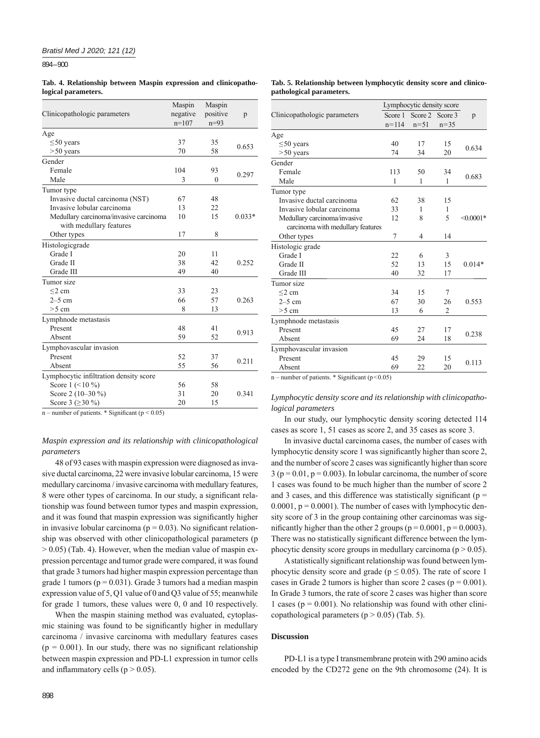894 – 900

**Tab. 4. Relationship between Maspin expression and clinicopathological parameters.**

| Clinicopathologic parameters           | Maspin<br>negative<br>$n=107$ | Maspin<br>positive<br>$n=93$ | p        |
|----------------------------------------|-------------------------------|------------------------------|----------|
| Age                                    |                               |                              |          |
| $\leq 50$ years                        | 37                            | 35                           | 0.653    |
| $> 50$ years                           | 70                            | 58                           |          |
| Gender                                 |                               |                              |          |
| Female                                 | 104                           | 93                           | 0.297    |
| Male                                   | 3                             | $\theta$                     |          |
| Tumor type                             |                               |                              |          |
| Invasive ductal carcinoma (NST)        | 67                            | 48                           |          |
| Invasive lobular carcinoma             | 13                            | 22                           |          |
| Medullary carcinoma/invasive carcinoma | 10                            | 15                           | $0.033*$ |
| with medullary features                |                               |                              |          |
| Other types                            | 17                            | 8                            |          |
| Histologicgrade                        |                               |                              |          |
| Grade I                                | 20                            | 11                           |          |
| Grade II                               | 38                            | 42                           | 0.252    |
| Grade III                              | 49                            | 40                           |          |
| Tumor size                             |                               |                              |          |
| $\leq$ 2 cm                            | 33                            | 23                           |          |
| $2-5$ cm                               | 66                            | 57                           | 0.263    |
| $>5$ cm                                | 8                             | 13                           |          |
| Lymphnode metastasis                   |                               |                              |          |
| Present                                | 48                            | 41                           | 0.913    |
| Absent                                 | 59                            | 52                           |          |
| Lymphovascular invasion                |                               |                              |          |
| Present                                | 52                            | 37                           | 0.211    |
| Absent                                 | 55                            | 56                           |          |
| Lymphocytic infiltration density score |                               |                              |          |
| Score $1$ (<10 %)                      | 56                            | 58                           |          |
| Score 2 (10-30 %)                      | 31                            | 20                           | 0.341    |
| Score 3 ( $\geq$ 30 %)                 | 20                            | 15                           |          |
|                                        |                               |                              |          |

n – number of patients.  $*$  Significant (p < 0.05)

## *Maspin expression and its relationship with clinicopathological parameters*

48 of 93 cases with maspin expression were diagnosed as invasive ductal carcinoma, 22 were invasive lobular carcinoma, 15 were medullary carcinoma / invasive carcinoma with medullary features, 8 were other types of carcinoma. In our study, a significant relationship was found between tumor types and maspin expression, and it was found that maspin expression was significantly higher in invasive lobular carcinoma ( $p = 0.03$ ). No significant relationship was observed with other clinicopathological parameters (p  $> 0.05$ ) (Tab. 4). However, when the median value of maspin expression percentage and tumor grade were compared, it was found that grade 3 tumors had higher maspin expression percentage than grade 1 tumors ( $p = 0.031$ ). Grade 3 tumors had a median maspin expression value of 5, Q1 value of 0 and Q3 value of 55; meanwhile for grade 1 tumors, these values were 0, 0 and 10 respectively.

When the maspin staining method was evaluated, cytoplasmic staining was found to be significantly higher in medullary carcinoma / invasive carcinoma with medullary features cases  $(p = 0.001)$ . In our study, there was no significant relationship between maspin expression and PD-L1 expression in tumor cells and inflammatory cells ( $p > 0.05$ ).

#### **Tab. 5. Relationship between lymphocytic density score and clinicopathological parameters.**

|                                   | Lymphocytic density score |         |                |                |
|-----------------------------------|---------------------------|---------|----------------|----------------|
| Clinicopathologic parameters      | Score 1                   | Score 2 | Score 3        | p              |
|                                   | $n = 114$                 | $n=51$  | $n = 35$       |                |
| Age                               |                           |         |                |                |
| $\leq 50$ years                   | 40                        | 17      | 15             | 0.634          |
| $> 50$ years                      | 74                        | 34      | 20             |                |
| Gender                            |                           |         |                |                |
| Female                            | 113                       | 50      | 34             | 0.683          |
| Male                              | $\mathbf{1}$              | 1       | 1              |                |
| Tumor type                        |                           |         |                |                |
| Invasive ductal carcinoma         | 62                        | 38      | 15             |                |
| Invasive lobular carcinoma        | 33                        | 1       | 1              |                |
| Medullary carcinoma/invasive      | 12                        | 8       | 5              | $\leq 0.0001*$ |
| carcinoma with medullary features |                           |         |                |                |
| Other types                       | 7                         | 4       | 14             |                |
| Histologic grade                  |                           |         |                |                |
| Grade I                           | 22                        | 6       | 3              |                |
| Grade II                          | 52                        | 13      | 15             | $0.014*$       |
| Grade III                         | 40                        | 32      | 17             |                |
| Tumor size                        |                           |         |                |                |
| $<$ 2 cm                          | 34                        | 15      | 7              |                |
| $2-5$ cm                          | 67                        | 30      | 26             | 0.553          |
| $>5$ cm                           | 13                        | 6       | $\overline{2}$ |                |
| Lymphnode metastasis              |                           |         |                |                |
| Present                           | 45                        | 27      | 17             | 0.238          |
| Absent                            | 69                        | 24      | 18             |                |
| Lymphovascular invasion           |                           |         |                |                |
| Present                           | 45                        | 29      | 15             | 0.113          |
| Absent                            | 69                        | 22      | 20             |                |

n – number of patients. \* Significant ( $p < 0.05$ )

## *Lymphocytic density score and its relationship with clinicopathological parameters*

In our study, our lymphocytic density scoring detected 114 cases as score 1, 51 cases as score 2, and 35 cases as score 3.

In invasive ductal carcinoma cases, the number of cases with lymphocytic density score 1 was significantly higher than score 2, and the number of score 2 cases was significantly higher than score  $3 (p = 0.01, p = 0.003)$ . In lobular carcinoma, the number of score 1 cases was found to be much higher than the number of score 2 and 3 cases, and this difference was statistically significant ( $p =$  $0.0001$ ,  $p = 0.0001$ ). The number of cases with lymphocytic density score of 3 in the group containing other carcinomas was significantly higher than the other 2 groups ( $p = 0.0001$ ,  $p = 0.0003$ ). There was no statistically significant difference between the lymphocytic density score groups in medullary carcinoma ( $p > 0.05$ ).

A statistically significant relationship was found between lymphocytic density score and grade ( $p \le 0.05$ ). The rate of score 1 cases in Grade 2 tumors is higher than score 2 cases ( $p = 0.001$ ). In Grade 3 tumors, the rate of score 2 cases was higher than score 1 cases ( $p = 0.001$ ). No relationship was found with other clinicopathological parameters ( $p > 0.05$ ) (Tab. 5).

## **Discussion**

PD-L1 is a type I transmembrane protein with 290 amino acids encoded by the CD272 gene on the 9th chromosome (24). It is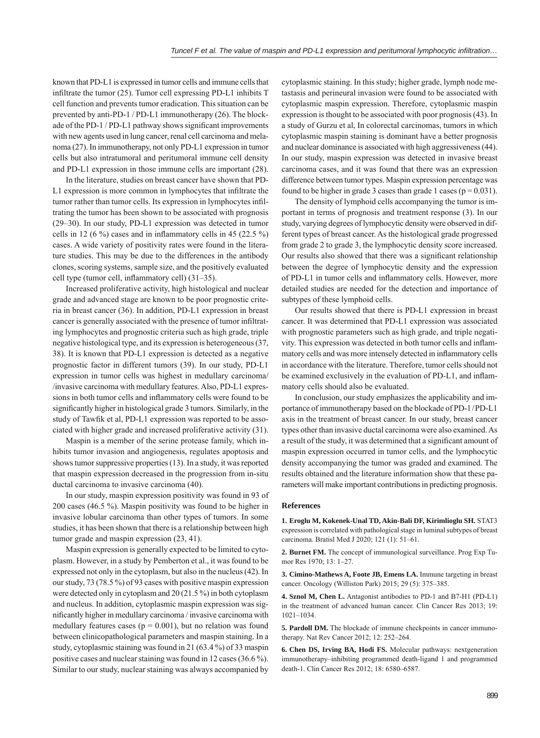known that PD-L1 is expressed in tumor cells and immune cells that infiltrate the tumor  $(25)$ . Tumor cell expressing PD-L1 inhibits T cell function and prevents tumor eradication. This situation can be prevented by anti-PD-1 / PD-L1 immunotherapy (26). The blockade of the PD-1 / PD-L1 pathway shows significant improvements with new agents used in lung cancer, renal cell carcinoma and melanoma (27). In immunotherapy, not only PD-L1 expression in tumor cells but also intratumoral and peritumoral immune cell density and PD-L1 expression in those immune cells are important (28).

In the literature, studies on breast cancer have shown that PD-L1 expression is more common in lymphocytes that infiltrate the tumor rather than tumor cells. Its expression in lymphocytes infiltrating the tumor has been shown to be associated with prognosis (29–30). In our study, PD-L1 expression was detected in tumor cells in 12 (6 %) cases and in inflammatory cells in 45 (22.5 %) cases. A wide variety of positivity rates were found in the literature studies. This may be due to the differences in the antibody clones, scoring systems, sample size, and the positively evaluated cell type (tumor cell, inflammatory cell) (31–35).

Increased proliferative activity, high histological and nuclear grade and advanced stage are known to be poor prognostic criteria in breast cancer (36). In addition, PD-L1 expression in breast cancer is generally associated with the presence of tumor infiltrating lymphocytes and prognostic criteria such as high grade, triple negative histological type, and its expression is heterogeneous (37, 38). It is known that PD-L1 expression is detected as a negative prognostic factor in different tumors (39). In our study, PD-L1 expression in tumor cells was highest in medullary carcinoma/ /invasive carcinoma with medullary features. Also, PD-L1 expressions in both tumor cells and inflammatory cells were found to be significantly higher in histological grade 3 tumors. Similarly, in the study of Tawfik et al, PD-L1 expression was reported to be associated with higher grade and increased proliferative activity (31).

Maspin is a member of the serine protease family, which inhibits tumor invasion and angiogenesis, regulates apoptosis and shows tumor suppressive properties (13). In a study, it was reported that maspin expression decreased in the progression from in-situ ductal carcinoma to invasive carcinoma (40).

In our study, maspin expression positivity was found in 93 of 200 cases (46.5 %). Maspin positivity was found to be higher in invasive lobular carcinoma than other types of tumors. In some studies, it has been shown that there is a relationship between high tumor grade and maspin expression (23, 41).

Maspin expression is generally expected to be limited to cytoplasm. However, in a study by Pemberton et al., it was found to be expressed not only in the cytoplasm, but also in the nucleus (42). In our study, 73 (78.5 %) of 93 cases with positive maspin expression were detected only in cytoplasm and 20 (21.5 %) in both cytoplasm and nucleus. In addition, cytoplasmic maspin expression was significantly higher in medullary carcinoma / invasive carcinoma with medullary features cases ( $p = 0.001$ ), but no relation was found between clinicopathological parameters and maspin staining. In a study, cytoplasmic staining was found in 21 (63.4 %) of 33 maspin positive cases and nuclear staining was found in 12 cases (36.6 %). Similar to our study, nuclear staining was always accompanied by

cytoplasmic staining. In this study; higher grade, lymph node metastasis and perineural invasion were found to be associated with cytoplasmic maspin expression. Therefore, cytoplasmic maspin expression is thought to be associated with poor prognosis (43). In a study of Gurzu et al, In colorectal carcinomas, tumors in which cytoplasmic maspin staining is dominant have a better prognosis and nuclear dominance is associated with high aggressiveness (44). In our study, maspin expression was detected in invasive breast carcinoma cases, and it was found that there was an expression difference between tumor types. Maspin expression percentage was found to be higher in grade 3 cases than grade 1 cases ( $p = 0.031$ ).

The density of lymphoid cells accompanying the tumor is important in terms of prognosis and treatment response (3). In our study, varying degrees of lymphocytic density were observed in different types of breast cancer. As the histological grade progressed from grade 2 to grade 3, the lymphocytic density score increased. Our results also showed that there was a significant relationship between the degree of lymphocytic density and the expression of PD-L1 in tumor cells and inflammatory cells. However, more detailed studies are needed for the detection and importance of subtypes of these lymphoid cells.

Our results showed that there is PD-L1 expression in breast cancer. It was determined that PD-L1 expression was associated with prognostic parameters such as high grade, and triple negativity. This expression was detected in both tumor cells and inflammatory cells and was more intensely detected in inflammatory cells in accordance with the literature. Therefore, tumor cells should not be examined exclusively in the evaluation of PD-L1, and inflammatory cells should also be evaluated.

In conclusion, our study emphasizes the applicability and importance of immunotherapy based on the blockade of PD-1/PD-L1 axis in the treatment of breast cancer. In our study, breast cancer types other than invasive ductal carcinoma were also examined. As a result of the study, it was determined that a significant amount of maspin expression occurred in tumor cells, and the lymphocytic density accompanying the tumor was graded and examined. The results obtained and the literature information show that these parameters will make important contributions in predicting prognosis.

#### **References**

**1. Eroglu M, Kokenek-Unal TD, Akin-Bali DF, Kirimlioglu SH.** STAT3 expression is correlated with pathological stage in luminal subtypes of breast carcinoma. Bratisl Med J 2020; 121 (1): 51–61.

**2. Burnet FM.** The concept of immunological surveillance. Prog Exp Tumor Res 1970; 13: 1–27.

**3. Cimino-Mathews A, Foote JB, Emens LA.** Immune targeting in breast cancer. Oncology (Williston Park) 2015; 29 (5): 375–385.

**4. Sznol M, Chen L.** Antagonist antibodies to PD-1 and B7-H1 (PD-L1) in the treatment of advanced human cancer. Clin Cancer Res 2013; 19: 1021–1034.

**5. Pardoll DM.** The blockade of immune checkpoints in cancer immunotherapy. Nat Rev Cancer 2012; 12: 252–264.

**6. Chen DS, Irving BA, Hodi FS.** Molecular pathways: nextgeneration immunotherapy–inhibiting programmed death-ligand 1 and programmed death-1. Clin Cancer Res 2012; 18: 6580–6587.